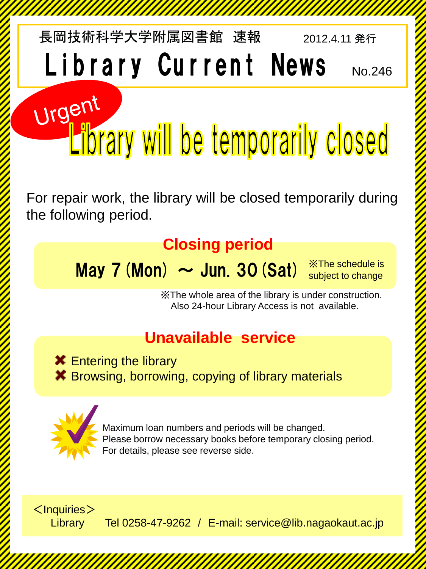## 長岡技術科学大学附属図書館 速報 2012.4.11 発行 No.246 Library Current News

Urgent <u>Library will be temporarily closed</u>

For repair work, the library will be closed temporarily during the following period.

## **Closing period**

May  $7 \times 10^{-1}$   $\sim$  Jun. 30 (Sat)

※The schedule is subject to change

※The whole area of the library is under construction. Also 24-hour Library Access is not available.

## **Unavailable service**

**X** Entering the library **X** Browsing, borrowing, copying of library materials



Maximum loan numbers and periods will be changed. Please borrow necessary books before temporary closing period. For details, please see reverse side.

 $<$ Inquiries $>$ 

Library Tel 0258-47-9262 / E-mail: service@lib.nagaokaut.ac.jp